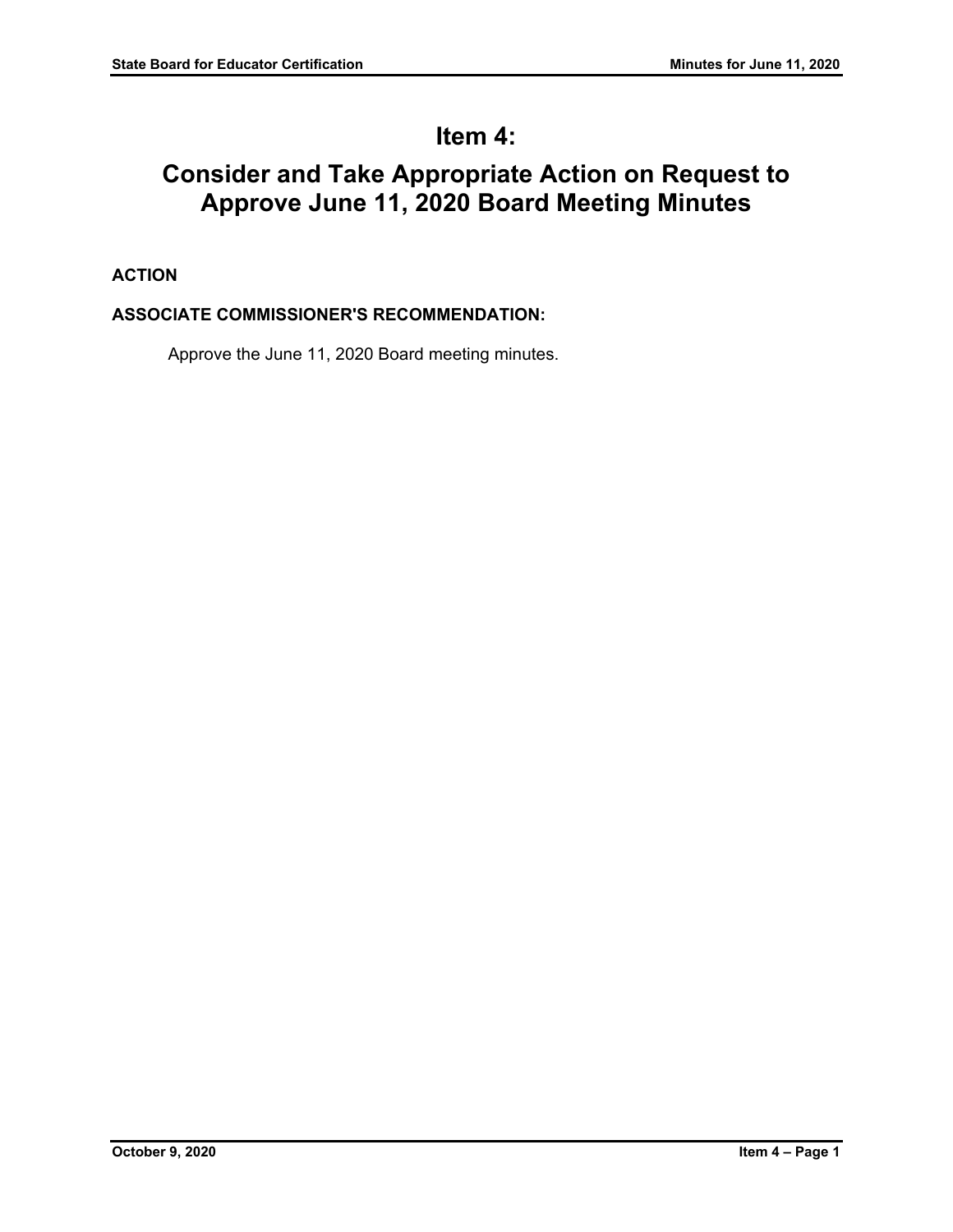# **Item 4:**

# **Consider and Take Appropriate Action on Request to Approve June 11, 2020 Board Meeting Minutes**

# **ACTION**

# **ASSOCIATE COMMISSIONER'S RECOMMENDATION:**

Approve the June 11, 2020 Board meeting minutes.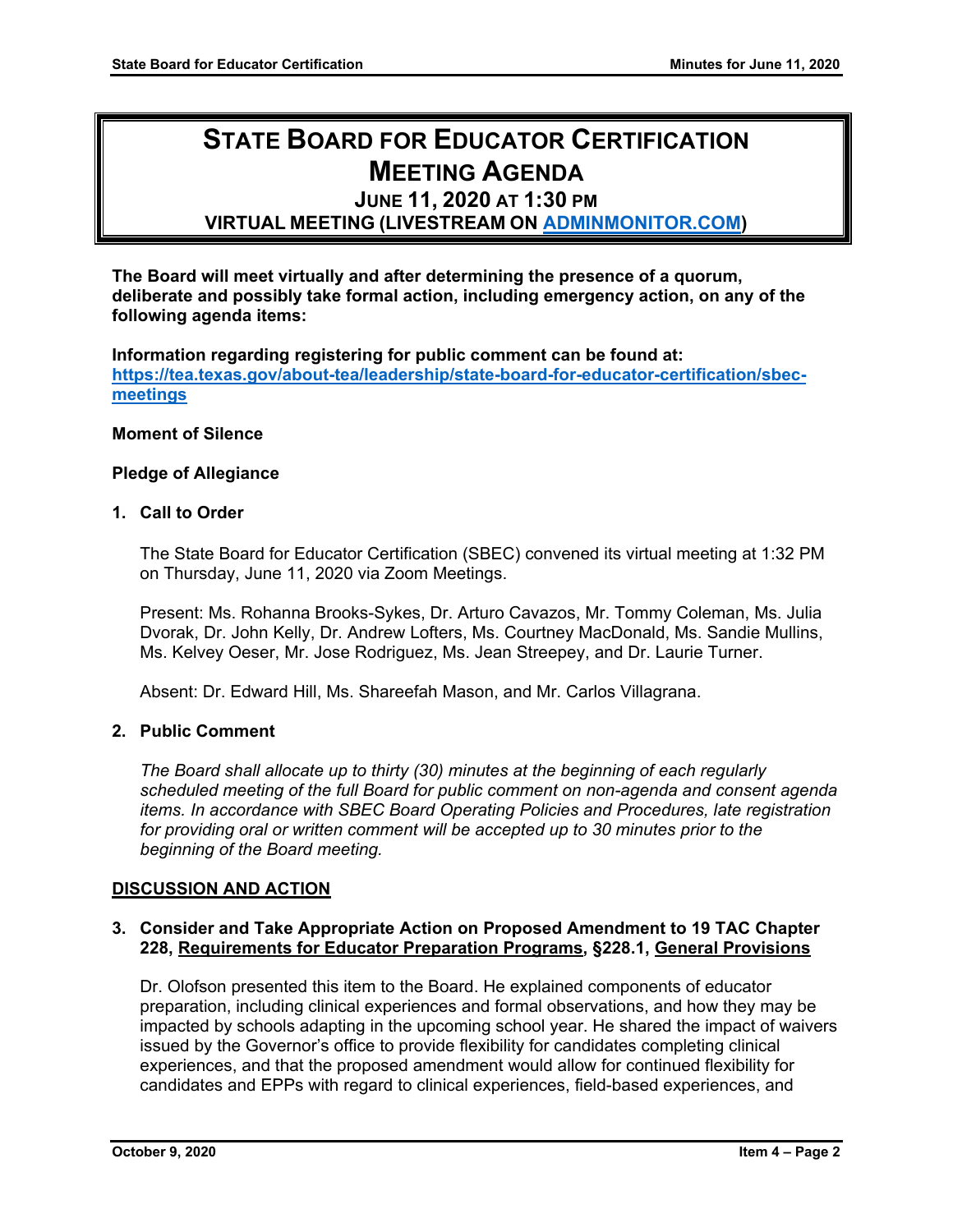# **STATE BOARD FOR EDUCATOR CERTIFICATION MEETING AGENDA**

## **JUNE 11, 2020 AT 1:30 PM**

**VIRTUAL MEETING (LIVESTREAM ON [ADMINMONITOR.COM\)](http://www.adminmonitor.com/tx/tea/)**

**The Board will meet virtually and after determining the presence of a quorum, deliberate and possibly take formal action, including emergency action, on any of the following agenda items:**

**Information regarding registering for public comment can be found at: [https://tea.texas.gov/about-tea/leadership/state-board-for-educator-certification/sbec](https://nam10.safelinks.protection.outlook.com/?url=https%3A%2F%2Ftea.texas.gov%2Fabout-tea%2Fleadership%2Fstate-board-for-educator-certification%2Fsbec-meetings&data=02%7C01%7CKatelin.Allen%40tea.texas.gov%7C33f09bed51314321053e08d7e6d36cb5%7C65d6b3c3723648189613248dbd713a6f%7C0%7C0%7C637231668044732631&sdata=p8LIEPR4IIZEJnEdirrTXTHGHIbtX2MWtvumJv7Tzho%3D&reserved=0)[meetings](https://nam10.safelinks.protection.outlook.com/?url=https%3A%2F%2Ftea.texas.gov%2Fabout-tea%2Fleadership%2Fstate-board-for-educator-certification%2Fsbec-meetings&data=02%7C01%7CKatelin.Allen%40tea.texas.gov%7C33f09bed51314321053e08d7e6d36cb5%7C65d6b3c3723648189613248dbd713a6f%7C0%7C0%7C637231668044732631&sdata=p8LIEPR4IIZEJnEdirrTXTHGHIbtX2MWtvumJv7Tzho%3D&reserved=0)**

#### **Moment of Silence**

#### **Pledge of Allegiance**

#### **1. Call to Order**

The State Board for Educator Certification (SBEC) convened its virtual meeting at 1:32 PM on Thursday, June 11, 2020 via Zoom Meetings.

Present: Ms. Rohanna Brooks-Sykes, Dr. Arturo Cavazos, Mr. Tommy Coleman, Ms. Julia Dvorak, Dr. John Kelly, Dr. Andrew Lofters, Ms. Courtney MacDonald, Ms. Sandie Mullins, Ms. Kelvey Oeser, Mr. Jose Rodriguez, Ms. Jean Streepey, and Dr. Laurie Turner.

Absent: Dr. Edward Hill, Ms. Shareefah Mason, and Mr. Carlos Villagrana.

## **2. Public Comment**

*The Board shall allocate up to thirty (30) minutes at the beginning of each regularly scheduled meeting of the full Board for public comment on non-agenda and consent agenda items. In accordance with SBEC Board Operating Policies and Procedures, late registration for providing oral or written comment will be accepted up to 30 minutes prior to the beginning of the Board meeting.*

## **DISCUSSION AND ACTION**

### **3. Consider and Take Appropriate Action on Proposed Amendment to 19 TAC Chapter 228, Requirements for Educator Preparation Programs, §228.1, General Provisions**

Dr. Olofson presented this item to the Board. He explained components of educator preparation, including clinical experiences and formal observations, and how they may be impacted by schools adapting in the upcoming school year. He shared the impact of waivers issued by the Governor's office to provide flexibility for candidates completing clinical experiences, and that the proposed amendment would allow for continued flexibility for candidates and EPPs with regard to clinical experiences, field-based experiences, and